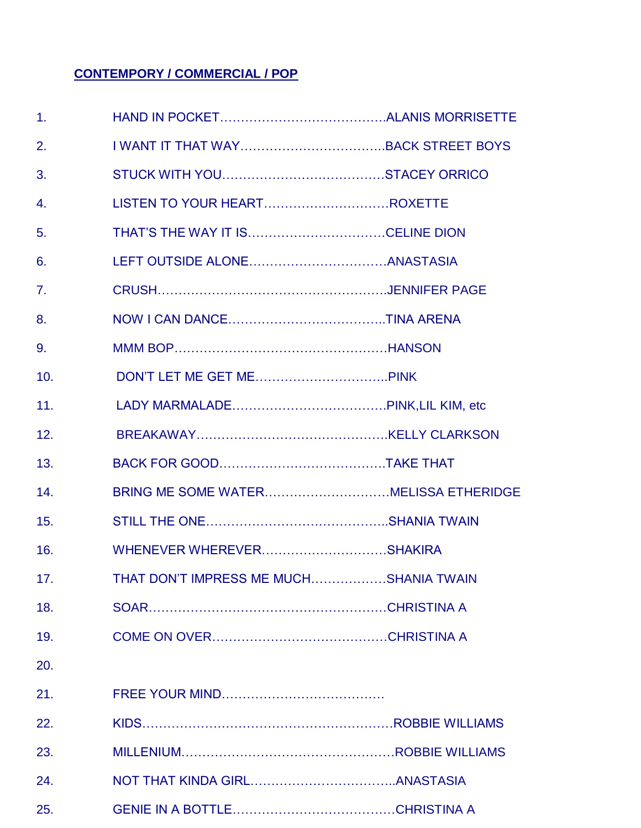#### **CONTEMPORY / COMMERCIAL / POP**

| 1.  |                                        |  |
|-----|----------------------------------------|--|
| 2.  |                                        |  |
| 3.  |                                        |  |
| 4.  |                                        |  |
| 5.  |                                        |  |
| 6.  |                                        |  |
| 7.  |                                        |  |
| 8.  |                                        |  |
| 9.  |                                        |  |
| 10. |                                        |  |
| 11. |                                        |  |
| 12. |                                        |  |
| 13. |                                        |  |
| 14. |                                        |  |
| 15. |                                        |  |
| 16. |                                        |  |
| 17. | THAT DON'T IMPRESS ME MUCHSHANIA TWAIN |  |
| 18. |                                        |  |
| 19. |                                        |  |
| 20. |                                        |  |
| 21. |                                        |  |
| 22. |                                        |  |
| 23. |                                        |  |
| 24. |                                        |  |
| 25. |                                        |  |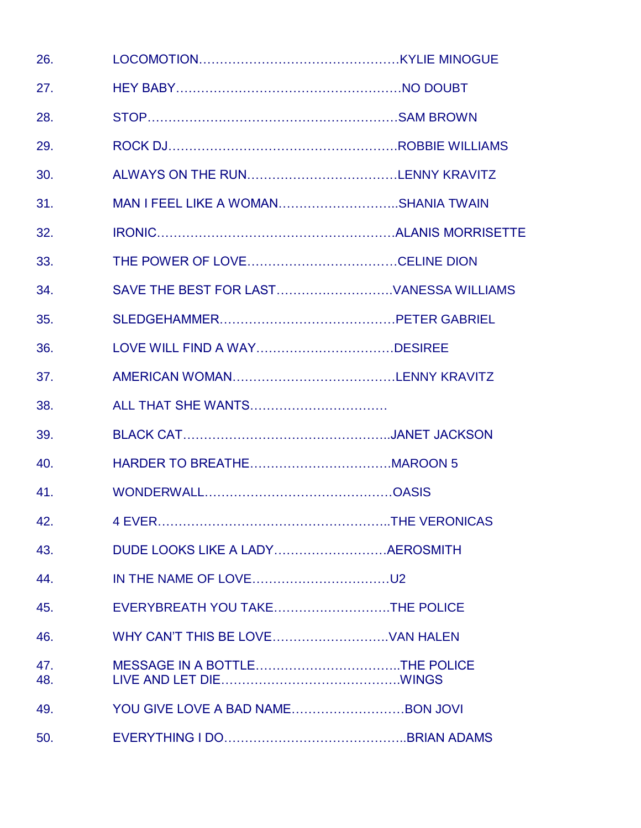| 26.        |                                     |  |
|------------|-------------------------------------|--|
| 27.        |                                     |  |
| 28.        |                                     |  |
| 29.        |                                     |  |
| 30.        |                                     |  |
| 31.        | MAN I FEEL LIKE A WOMANSHANIA TWAIN |  |
| 32.        |                                     |  |
| 33.        |                                     |  |
| 34.        |                                     |  |
| 35.        |                                     |  |
| 36.        |                                     |  |
| 37.        |                                     |  |
| 38.        | ALL THAT SHE WANTS                  |  |
| 39.        |                                     |  |
| 40.        |                                     |  |
| 41.        |                                     |  |
| 42.        |                                     |  |
| 43.        |                                     |  |
| 44.        |                                     |  |
| 45.        | EVERYBREATH YOU TAKETHE POLICE      |  |
| 46.        |                                     |  |
| 47.<br>48. |                                     |  |
| 49.        |                                     |  |
| 50.        |                                     |  |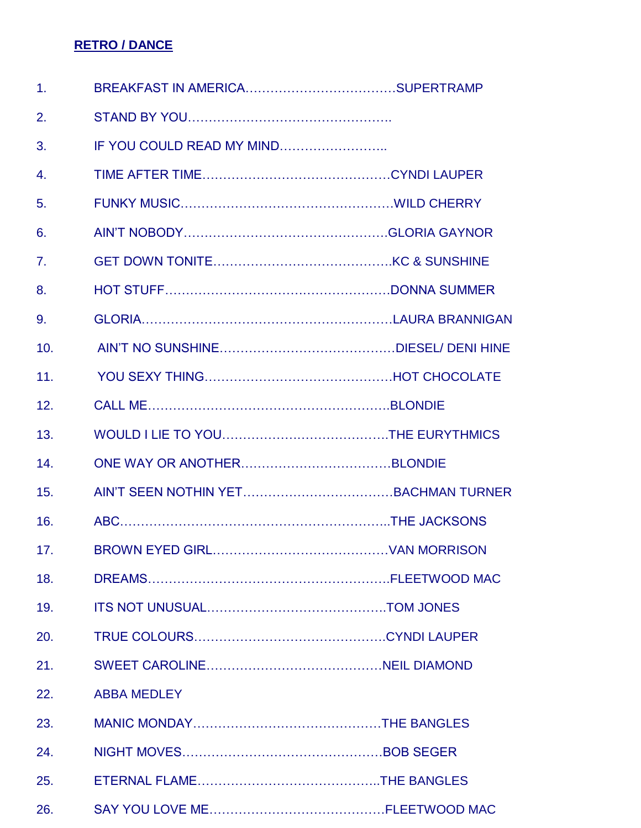#### **RETRO / DANCE**

| 1.               |                           |  |
|------------------|---------------------------|--|
| 2.               |                           |  |
| 3.               | IF YOU COULD READ MY MIND |  |
| $\overline{4}$ . |                           |  |
| 5.               |                           |  |
| 6.               |                           |  |
| 7.               |                           |  |
| 8.               |                           |  |
| 9.               |                           |  |
| 10.              |                           |  |
| 11.              |                           |  |
| 12.              |                           |  |
| 13.              |                           |  |
| 14.              |                           |  |
| 15.              |                           |  |
| 16.              |                           |  |
| 17.              |                           |  |
| 18.              |                           |  |
| 19.              |                           |  |
| 20.              |                           |  |
| 21.              |                           |  |
| 22.              | <b>ABBA MEDLEY</b>        |  |
| 23.              |                           |  |
| 24.              |                           |  |
| 25.              |                           |  |
| 26.              |                           |  |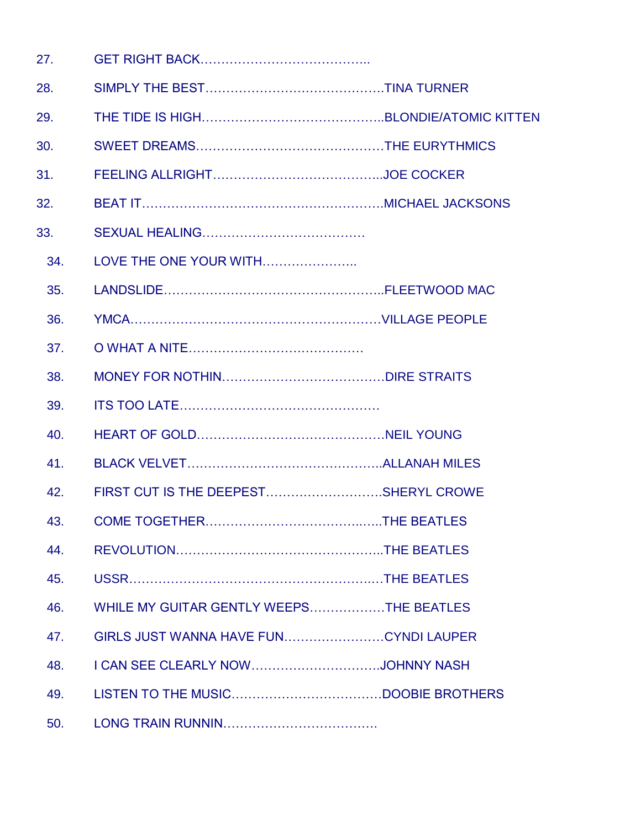| 27. |                                         |  |
|-----|-----------------------------------------|--|
| 28. |                                         |  |
| 29. |                                         |  |
| 30. |                                         |  |
| 31. |                                         |  |
| 32. |                                         |  |
| 33. |                                         |  |
| 34. | LOVE THE ONE YOUR WITH                  |  |
| 35. |                                         |  |
| 36. |                                         |  |
| 37. |                                         |  |
| 38. |                                         |  |
| 39. |                                         |  |
| 40. |                                         |  |
| 41. |                                         |  |
| 42. | FIRST CUT IS THE DEEPESTSHERYL CROWE    |  |
| 43. |                                         |  |
| 44. |                                         |  |
| 45. |                                         |  |
| 46. | WHILE MY GUITAR GENTLY WEEPSTHE BEATLES |  |
| 47. |                                         |  |
| 48. |                                         |  |
| 49. |                                         |  |
| 50. |                                         |  |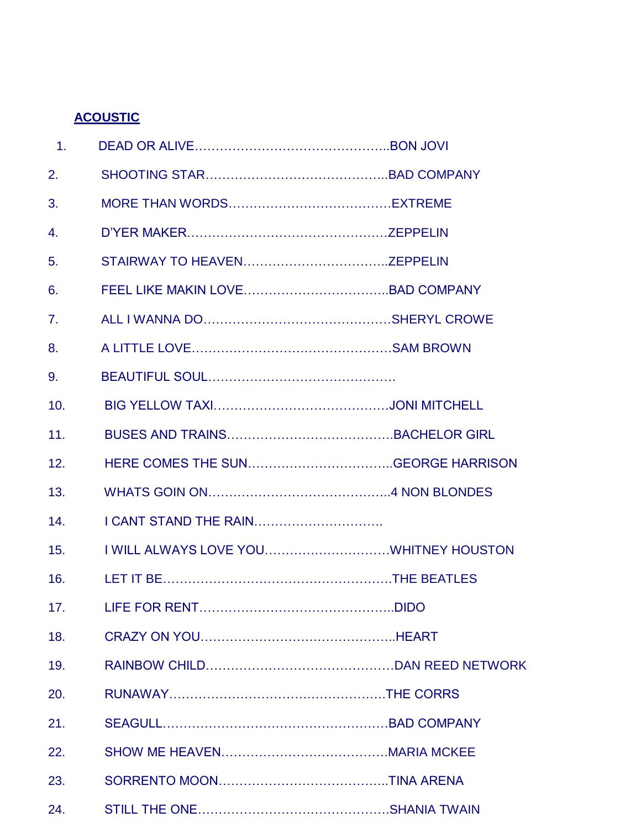## **ACOUSTIC**

| $\overline{1}$ . |                       |        |
|------------------|-----------------------|--------|
| 2.               |                       |        |
| 3.               |                       |        |
| 4.               |                       |        |
| 5.               |                       |        |
| 6.               |                       |        |
| 7.               |                       |        |
| 8.               |                       |        |
| 9.               |                       |        |
| 10.              |                       |        |
| 11.              |                       |        |
| 12.              |                       |        |
| 13.              |                       |        |
| 14.              | I CANT STAND THE RAIN |        |
| 15.              |                       |        |
| 16.              |                       |        |
| 17.              | <b>LIFE FOR RENT</b>  | . DIDO |
| 18.              |                       |        |
| 19.              |                       |        |
| 20.              |                       |        |
| 21.              |                       |        |
| 22.              |                       |        |
| 23.              |                       |        |
| 24.              |                       |        |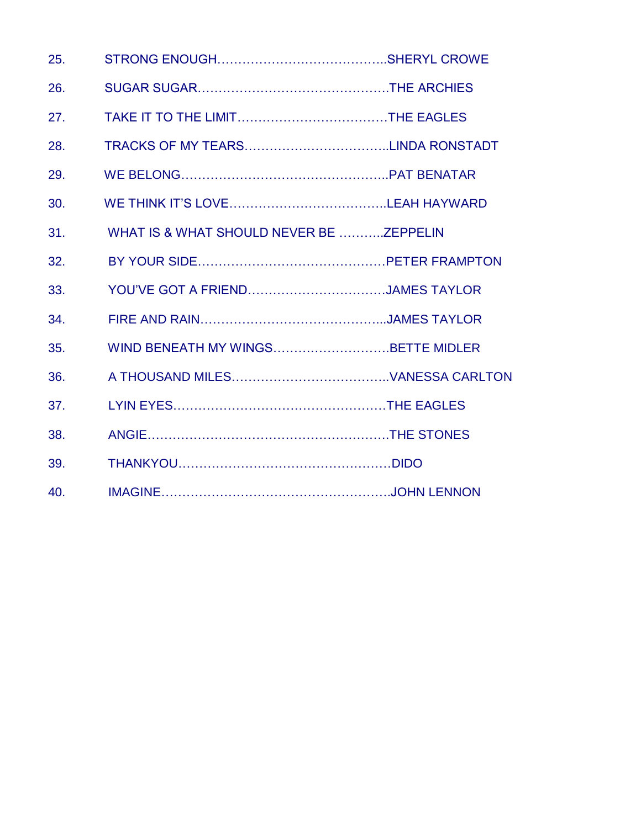| 25. |                                         |  |
|-----|-----------------------------------------|--|
| 26. |                                         |  |
| 27. |                                         |  |
| 28. |                                         |  |
| 29. |                                         |  |
| 30. |                                         |  |
| 31. | WHAT IS & WHAT SHOULD NEVER BE ZEPPELIN |  |
| 32. |                                         |  |
| 33. | YOU'VE GOT A FRIENDJAMES TAYLOR         |  |
| 34. |                                         |  |
| 35. | WIND BENEATH MY WINGSBETTE MIDLER       |  |
| 36. |                                         |  |
| 37. |                                         |  |
| 38. |                                         |  |
| 39. |                                         |  |
| 40. |                                         |  |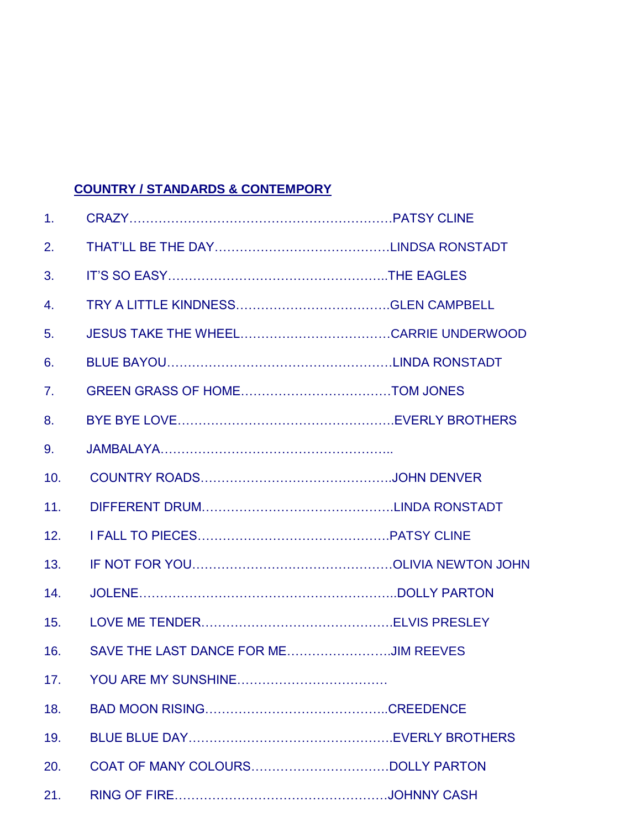### **COUNTRY / STANDARDS & CONTEMPORY**

| $\mathbf{1}$ . |                                      |  |
|----------------|--------------------------------------|--|
| 2.             |                                      |  |
| 3.             |                                      |  |
| 4.             |                                      |  |
| 5.             |                                      |  |
| 6.             |                                      |  |
| 7 <sub>1</sub> |                                      |  |
| 8.             |                                      |  |
| 9.             |                                      |  |
| 10.            |                                      |  |
| 11.            |                                      |  |
| 12.            |                                      |  |
| 13.            |                                      |  |
| 14.            |                                      |  |
| 15.            |                                      |  |
| 16.            | SAVE THE LAST DANCE FOR MEJIM REEVES |  |
| 17.            | YOU ARE MY SUNSHINE                  |  |
| 18.            |                                      |  |
| 19.            |                                      |  |
| 20.            |                                      |  |
| 21.            |                                      |  |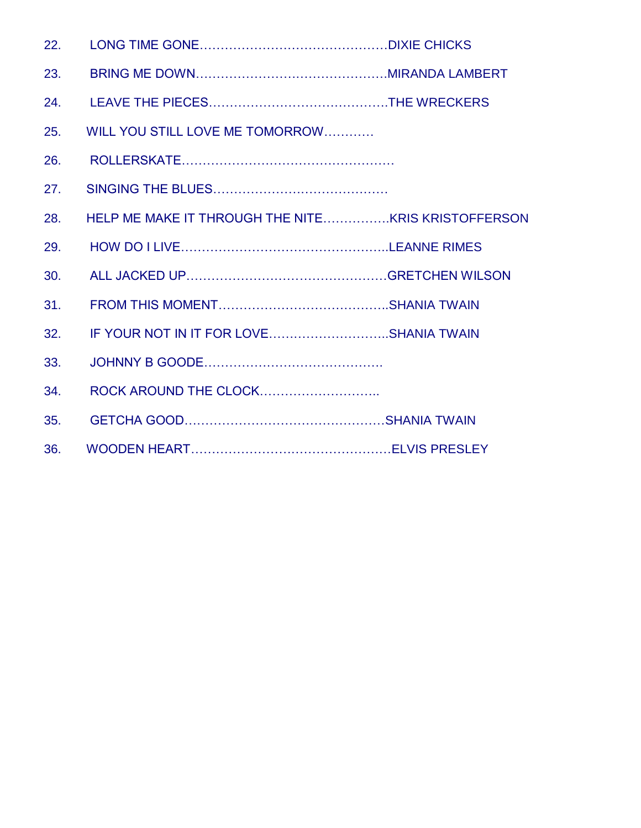| 22. |                                        |  |
|-----|----------------------------------------|--|
| 23. |                                        |  |
| 24. |                                        |  |
| 25. | WILL YOU STILL LOVE ME TOMORROW        |  |
| 26. |                                        |  |
| 27. |                                        |  |
| 28. |                                        |  |
| 29. |                                        |  |
| 30. |                                        |  |
| 31. |                                        |  |
| 32. | IF YOUR NOT IN IT FOR LOVESHANIA TWAIN |  |
| 33. |                                        |  |
| 34. |                                        |  |
| 35. |                                        |  |
| 36. |                                        |  |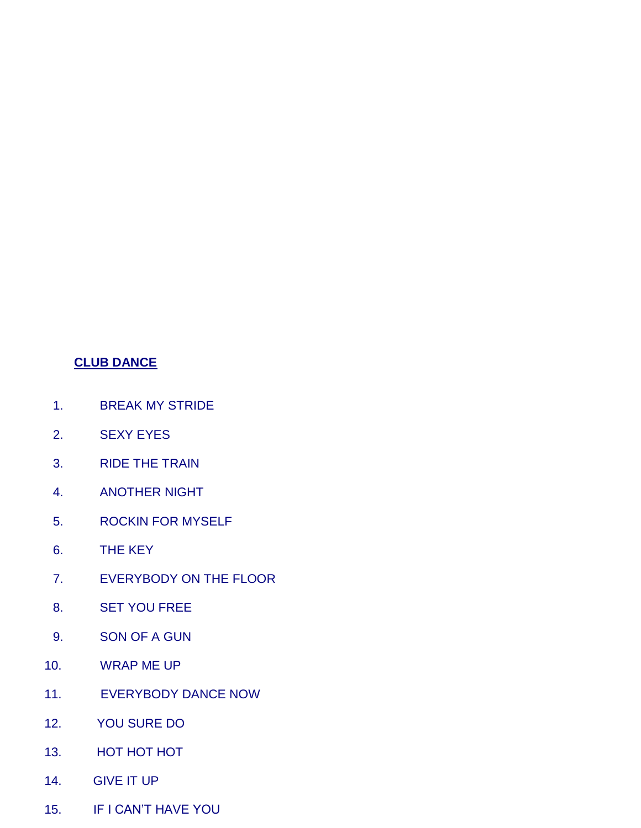#### **CLUB DANCE**

- 1. BREAK MY STRIDE
- 2. SEXY EYES
- 3. RIDE THE TRAIN
- 4. ANOTHER NIGHT
- 5. ROCKIN FOR MYSELF
- 6. THE KEY
- 7. EVERYBODY ON THE FLOOR
- 8. SET YOU FREE
- 9. SON OF A GUN
- 10. WRAP ME UP
- 11. EVERYBODY DANCE NOW
- 12. YOU SURE DO
- 13. HOT HOT HOT
- 14. GIVE IT UP
- 15. IF I CAN'T HAVE YOU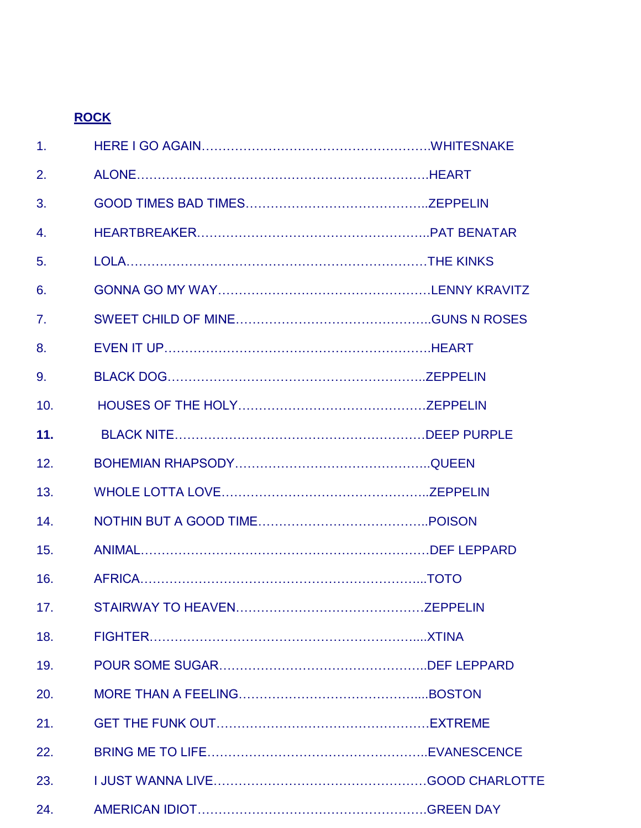# **ROCK**

| 1 <sub>1</sub>   |  |
|------------------|--|
| 2.               |  |
| 3.               |  |
| $\overline{4}$ . |  |
| 5.               |  |
| 6.               |  |
| $\overline{7}$ . |  |
| 8.               |  |
| 9.               |  |
| 10.              |  |
| 11.              |  |
| 12.              |  |
| 13.              |  |
| 14.              |  |
| 15.              |  |
| 16.              |  |
| 17.              |  |
| 18.              |  |
| 19.              |  |
| 20.              |  |
| 21.              |  |
| 22.              |  |
| 23.              |  |
| 24.              |  |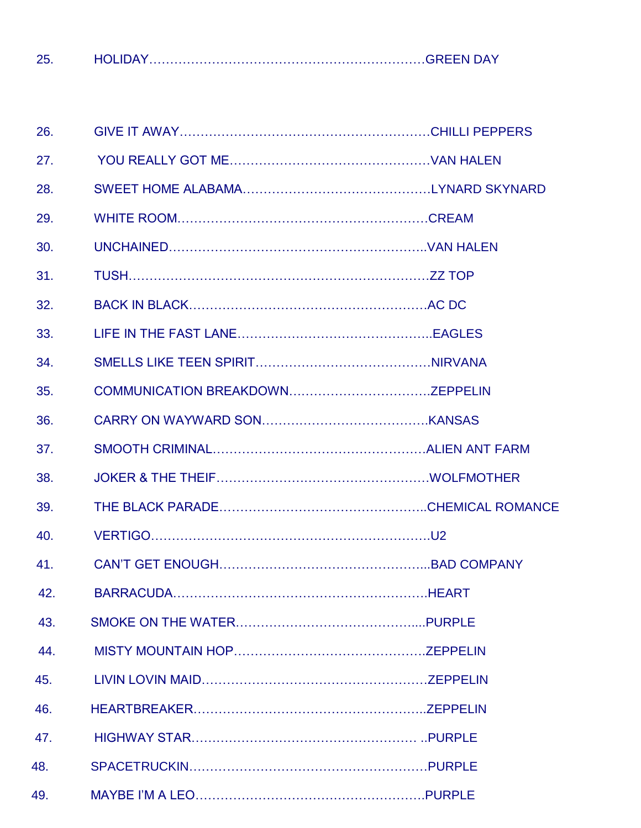25. HOLIDAY…………………………………………………………GREEN DAY

| 26. |  |
|-----|--|
| 27. |  |
| 28. |  |
| 29. |  |
| 30. |  |
| 31. |  |
| 32. |  |
| 33. |  |
| 34. |  |
| 35. |  |
| 36. |  |
| 37. |  |
| 38. |  |
| 39. |  |
| 40. |  |
| 41. |  |
| 42. |  |
| 43. |  |
| 44. |  |
| 45. |  |
| 46. |  |
| 47. |  |
| 48. |  |
| 49. |  |